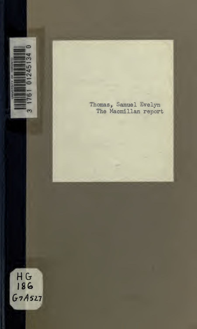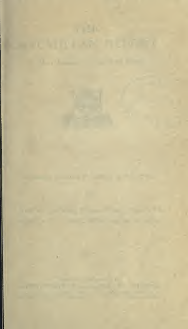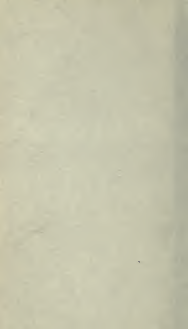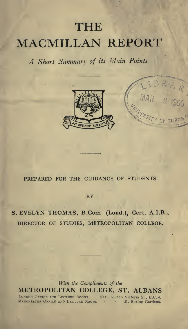# **THE** MACMILLAN REPORT

A Short Summary of its Main Points



VERSITY OF TOP

## PREPARED FOR THE GUIDANCE OF STUDENTS

**BY** 

S. EVELYN THOMAS, B.Com. (Lond.), Cert. A.I.B., DIRECTOR OF STUDIES, METROPOLITAN COLLEGE.

With the Compliments of the<br>METROPOLITAN COLLEGE, ST. ALBANS LONDON OFFICE AND LECTURE ROOMS - 40-42, Queen Victoria St., E.C. 4.<br>MANCHESTER OFFICE AND LECTURE ROOMS - - 21, Spring Gardens.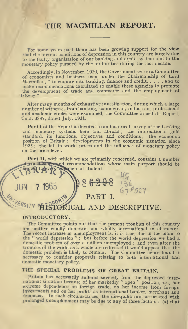## THE MACMILLAN REPORT.

For some years past there has been growing support for the view that the present conditions of depression in this country are largely due to the faulty organisation of our banking and credit system and to the monetary policy pursued by the authorities during the last decade.

Accordingly, in November, 1929, the Government set up <sup>a</sup> Committee of economists and business men, under the Chairmanship of Lord Macmillan, " to enquire into banking, finance and credit, .... and to make recommendations calculated to enable these agencies to promote the development of trade and commerce and the employment of labour ".

After many months of exhaustive investigation, during which <sup>a</sup> large number of witnesses from banking, commercial, industrial, professional and academic circles were examined, the Committee issued its Report, Cmd. 3897, dated July, 1931.

Part <sup>I</sup> of the Report is devoted to an historical survey of the banking and monetary systems here and abroad ; the international gold standard, its functions, objectives and conditions ; the economic position of Britain ; developments in the economic situation since <sup>1925</sup> ; the fall in world prices and the influence of monetary policy on the price level.

Part II, with which we are primarily concerned, contains a number of conclusions and recommendations whose main purport should be **Stamercial student.** BWR to even

PART I.

CAL AND DESCRIPTIVE.

## INTRODUCTORY.

7 1965

UNIVERSIT

The Committee points out that the present troubles of this country are neither wholly domestic nor wholly international in character. are neither wholly domestic nor wholly international in character.<br>The recent increase in unemployment is, it is true, due in the main to the " world depression "; but before the world depression we had a the "world depression"; but before the world depression we had a domestic problem of over a million unemployed; and even after the troubles of the world as <sup>a</sup> whole are redressed it would appear that the domestic problem is likely to remain. The Committee hence found it necessary to consider proposals relating to both international and domestic monetary policy.

## THE SPECIAL PROBLEMS OF GREAT BRITAIN.

Britain has necessarily suffered severely from the depressed inter-<br>national situation because of her markedly "open " position, *i.e.*, her<br>extreme dependence on foreign trade, on her income from foreign<br>investments and o financier. In such circumstances, the disequilibrium associated with prolonged unemployment may be due to any of three factors : (a) that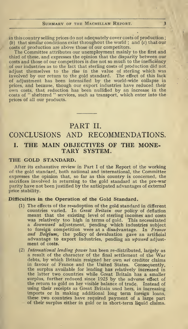in this country selling prices do not adequately cover costs of production ; (b) that similar conditions exist throughout the world ; and  $(c)$  that our costs of production are above those of our competitors.

The Committee attributes our unemployment mainly to the first and third of these, and expresses the opinion that the disparity between our costs and those of our competitors is due not so much to the inefficiency of our industries as to the fact that sterling costs of production did not adjust themselves to the rise in the value of sterling which was<br>involved by our return to the gold standard. The effect of this lack<br>of adjustment has been intensified by the world-wide collapse in<br>prices, and because, th costs of " sheltered " services, such as transport, which enter into the prices of all our products.

## PART II.

# CONCLUSIONS AND RECOMMENDATIONS. I. THE MAIN OBJECTIVES OF THE MONE-TARY SYSTEM.

#### THE GOLD STANDARD.

After its exhaustive review in Part <sup>I</sup> of the Report of the working of the gold standard, both national and international, the Committee expresses the opinion that, so far as this country is concerned, the sacrifices involved in returning to the gold standard at the pre-war parity have not been justified by the anticipated advantages of external price stability.

## Difficulties in the Operation of the Gold Standard.

- (1) The effects of the re-adoption of the gold standard in different countries varied. In *Great Britain* our policy of deflation meant that the existing level of sterling incomes and costs was relatively too high in term to foreign competition were at a disadvantage. In France and Belgium, the policy of devaluation gave an artificial advantage to export industries, pending an *upward* adjust-<br>ment of costs.
- (2) International lending power has been re-distributed, largely as <sup>a</sup> result of the character of the final settlement of the War debts, by which Britain resigned her own net creditor claims in favour of France and the United States. Consequently, the surplus available for lending has relatively increased in the latter two countries while Great Britain has a smaller surplus, further reduced since 1925 by the adverse effect of the return to gold on her visible balance of trade. Instead of using their receipts as Great Britain used hers, in increasing imports or in making additional long term foreign loans, imports or in making additional long term foreign loans, these two countries have required payment of <sup>a</sup> large part of their surplus either in gold or in short-term liquid claims.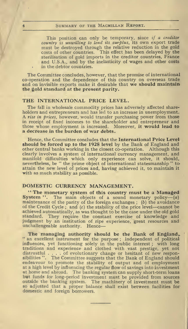This position can only be temporary, since if a creditor country is unwilling to lend its surplus, its own export trade must be destroyed through the relative reduction in the gold costs of other countries. This effect has been delayed by the sterilisation of gold imports in the creditor countries, France and U.S.A., and by the inelasticity of wages and other costs in the debtor countries.

The Committee concludes, however, that the promise of international co-operation and the dependence of this country on overseas trade and on invisible exports make it desirable that we should maintain the gold standard at the present parity.

#### THE INTERNATIONAL PRICE LEVEL.

The fall in wholesale commodity prices has adversely affected share-holders and entrepreneurs and has led to an increase in unemployment. A rise in prices, however, would transfer purchasing power from those in receipt of fixed incomes to the shareholder and entrepreneur and those whose employment is increased. Moreover, it would lead to <sup>a</sup> decrease in the burden of war debts.

Hence, the Committee concludes that the International Price Level should be forced up to the 1928 level by the Bank of England and other central banks working in the closest co-operation. Although this clearly involves <sup>a</sup> system of international currency management, and manifold difficulties which only experience can solve, it should, nevertheless, be " the prime object of international statesmanship " toattain the new level of prices and, having achieved it, to maintain it with as much stability as possible.

#### DOMESTIC CURRENCY MANAGEMENT.

" The monetary system of this country must be a Managed System ". The main objects of a sound monetary policy— $(a)$ maintenance of the parity of the foreign exchanges ; (b) the avoidance of the Credit Cycle; and  $(c)$  the stability of the price level—cannot be achieved automatically, as was thought to be the case under the old gold standard. They require the constant exercise of knowledge and judgment by an institution of ripe experience, great resources and unchallengeable authority. Hence

The managing authority should be the Bank of England,<br>" an excellent instrument for the purpose ; independent of political<br>influences, yet functioning solely in the public interest ; with long traditions and experience and clothed with vast prestige, yet not distrustful . . . . of evolutionary change or hesitant of new responsibilities". The Committee suggests that the Bank of England should endeavour to promote the stability of output and of employment at a high level by influencing the regular flow of savings into investment<br>at home and abroad. The banking system can supply short-term loans but funds for long-period investment must be provided from sources outside the banking system. The machinery of investment must be so adjusted that <sup>a</sup> proper balance shall exist between facilities for domestic and foreign borrowers.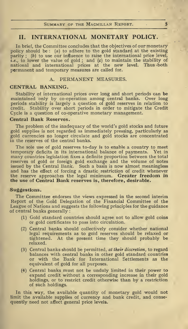## II. INTERNATIONAL MONETARY POLICY.

In brief, the Committee concludes that the objectives of our monetary policy should be : (a) to adhere to the gold standard at the existing parity ; (b) to use our influence to raise the international price level,  $i.e.,$  to lower the value of gold; and  $(c)$  to maintain the stability of national and international prices at the new level. Thus 'both permanent and temporary measures are called for.

#### A. PERMANENT MEASURES.

#### CENTRAL BANKING.

Stability of international prices over long and short periods can be maintained only by co-operation among central banks. Over long periods stability is largely a question of gold reserves in relation to credit. Stability over short periods in order to mitigate the Credit Cycle is a question of co-operative monetary management.

#### Central Bank Reserves.

The problem of the inadequacy of the world's gold stocks and future gold supplies is not regarded as immediately pressing, particularly as gold currencies no longer circulate and gold stocks are concentrated in the reserves of the central banks.

The sole use of gold reserves to-day is to enable a country to meet temporary deficits in its international balance of payments. Yet in many countries legislation fixes a definite proportion between the total reserves of gold or foreign gold exchange and the volume of notes issued by the Central Bank. Such a basis is now almost meaningless<br>and has the effect of forcing a drastic restriction of credit whenever<br>the reserve approaches the legal minimum. Greater freedom in<br>the use of Central Bank

#### Suggestions.

The Committee endorses the views expressed in the second interim Report of the Gold Delegation of the Financial Committee of the League of Nations and suggests the following principles for the guidance of central banks generally :

- (1) Gold standard countries should agree not to allow gold coins or gold certificates to pass into circulation.
- (2) Central banks should collectively consider whether national legal requirements as to gold reserves should be relaxed or tightened. At the present time they should probably be relaxed.
- (3) Central banks should be permitted, at their discretion, to regard balances with central banks in other gold standard countries or with the Bank for International Settlements as the equivalent of gold for all purposes.
- (4) Central banks must not be unduly limited in their power to expand credit without a corresponding increase in their gold holdings, or to restrict credit otherwise than by a restriction of such holdings.

In this way, the available quantity of monetary gold would not limit the available supplies of currency and bank credit, and conse quently need not affect general price levels.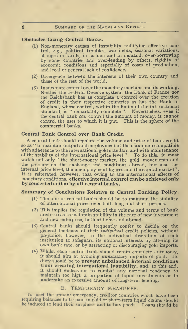#### Obstacles facing Central Banks.

- (1) Non-monetary causes of instability nullifying effective control, e.g., political troubles, war debts, seasonal variations, changes in tariffs, in fashion and in demand, over-borrowing by some countries and over-lending by others, rigidity of economic conditions and especially of costs of production, and local or general lack of confidence.
- (2) Divergence between the interests of their own country and those of the rest of the world.
- (3) Inadequate control over the monetary machine and its working. Neither the Federal Reserve system, the Bank of France nor the Reichsbank has as complete a control over the creation of credit in their respective countries as has the Bank of England, whose control, within the limits of the international standard, is " remarkably complete ". Nevertheless, even if the central bank *can* control the amount of money, it cannot control the uses to which it is put. This is the sphere of the commercial banks.

#### Central Bank Control over Bank Credit.

<sup>A</sup> central bank should regulate the volume and price of bank credit so as " to maintain output and employment at the maximum compatible with adherence to the international gold standard and with maintenance of the stability of the international price level ". To do this, it must watch not only " the short-money market, the gold movements and the pressure on the exchange and conditions abroad, but also the internal price level, the unemployment figures and the capital market". It is reiterated, however, that owing to the international effects of monetary conditions, effective internal control can be achieved only by concerted action by all central banks.

#### Summary of Conclusions Relative to Central Banking Policy.

- (1) The aim of central banks should be to maintain the stability of international prices over both long and short periods.
- (2) This implies the regulation of the volume and terms of bank credit so as to maintain stability in the rate of new investment and new enterprise, both at home and abroad.
- (3) Central banks should frequently confer to decide on the general tendency of their *individual* credit policies, without prejudice, however, to the individual discretion of each institution to safeguard its national interests by altering its own bank rate, or by attracting or discouraging gold imports.
- (4) Whilst each central bank should retain complete autonomy, it should aim at avoiding *unnecessary* imports of gold. Its duty should be to prevent unbalanced internal conditions from creating international instability, and, to this end, it should endeavour to combat any national tendency to maintain too high a proportion of liquid investments or to undertake an excessive amount of long-term lending.

#### B. TEMPORARY MEASURES.

To meet the present emergency, creditor countries which have been requiring balances to be paid in gold or short-term liquid claims should be induced to lend their surpluses and to buy goods. Loans should be

6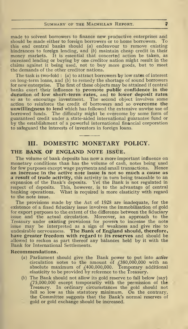made to solvent borrowers to finance new productive enterprises and should be made either to foreign borrowers or to home borrowers. To this end central banks should (a) endeavour to remove existing hindrances to foreign lending, and (b) maintain cheap credit in their money markets. It is essential that concerted action be taken, as increased lending or buying by one creditor nation might result in the claims against it being used, not to buy more goods, but to meet the demands of the other creditor nations.

The task is two-fold : (*a*) to attract borrowers **b**y low rates of interest on long-term loans, and (*b*) to remedy the shortage of sound borrowers for new enterprise. The first of these objects may be attained if central banks exert their influence to promote public confidence in the duration of low short-term rates, and to lower deposit rates so as to encourage investment. The second object involves some action to reinforce the credit of borrowers and so overcome the unwillingness to lend which has followed the extensive unwise use of borrowed funds. The difficulty might be overcome by some form of guaranteed credit under a state-aided international guarantee fund or by the establishment of a powerful international financial corporation to safeguard the interests of investors in foreign loans.

## III. DOMESTIC MONETARY POLICY.

## THE BANK OF ENGLAND NOTE ISSUE.

The volume of bank deposits has now <sup>a</sup> more important influence on monetary conditions than has the volume of cash, notes being used<br>for few purposes except wage payments and small transactions. Hence an increase in the active note issue is not so much a cause as a result of trade activity, this activity in turn being traceable to an expansion of the Bank's deposits. Yet the Bank is not regulated in respect of deposits. This, however, is to the advantage of central banking operations. What is required is more elasticity with regard to the note issue.

The provisions made by the Act of <sup>1928</sup> are inadequate, for the existence of a fixed fiduciary issue involves the immobilisation of gold for export purposes to the extent of the difference between the fiduciary issue and the actual circulation. Moreover, an approach to the Treasury under existing provisions for powers to increase the note issue may be interpreted as a sign of weakness and give rise to undesirable nervousness. The have greater freedom with regard to its reserves and should be allowed to reckon as part thereof any balances held by it with the Bank for International Settlements.

#### Recommendations.

- (a) Parliament should give the Bank power to put into *active* circulation notes to the amount of  $\text{\#}380,000,000$  with an absolute maximum of  $\text{\#}400,000,000$ . Temporary additional absolute maximum of  $f$ 400,000,000. elasticity to be provided by reference to the Treasury.
- (b) The Bank should not allow its gold reserve to fall below (say) 75,000,000 except temporarily with the permission of the Treasury. In ordinary circumstances the gold should not fall so low as this statutory minimum. On the contrary, the Committee suggests that the Bank's normal reserves of gold or gold exchange should be increased.

J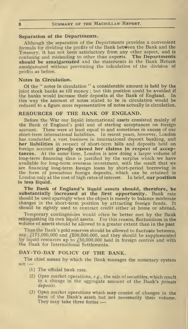#### Separation of the Departments.

Although the separation of the Departments provides a convenient formula for dividing the profits of the Bank between the Bank and the Treasury, it has not been satisfactory from any other aspect, and is confusing and misleading to other than experts. The Departments should be amalgamated and the statements in the Bank Return amalgamated without preventing the calculation of the division of profits as before.

#### Notes in Circulation.

Of the " notes in circulation " <sup>a</sup> considerable amount isheld by the joint stock banks as till money ; but this position could be avoided if the banks would increase their deposits at the Bank of England. this way the amount of notes stated to be in circulation would be reduced to a figure more representative of notes actually in circulation.

#### RESOURCES OF THE BANK OF ENGLAND.

Before the War our liquid international assets consisted mainly of the Bank of England's gold and of sterling acceptances on foreign account. These were at least equal to and sometimes in excess of our short-term international liabilities. In recent years, however, London has conducted a vast business in international deposit banking, and her liabilities in respect of short-term bills and deposits held on foreign account greatly exceed her claims in respect of acceptances. At the same time, London is now doing <sup>a</sup> larger volume of long-term financing than is justified by the surplus which we have available for long-term overseas investment, with the result that we the form of precarious foreign deposits, which can be retained in London only at the cost of high rates of interest. In brief, our position is less liquid.

The Bank of England's liquid assets should, therefore, be substantially increased at the first opportunity. Bank rate should be used sparingly when the object is merely to balance moderate changes in the short-term position by attracting foreign funds. It should be rightly used to contract credit either at home or abroad.

Temporary contingencies would often be better met by the Bank relinquishing its own liquid assets. For this reason, fluctuations in the volume of assets should be allowed to <sup>a</sup> greater extent than in the past

Thus the Bank's gold reserves should be allowed to fluctuate between, say,  $\angle$ 175,000,000 and  $\angle$ 100,000,000, and they should be supplemented by liquid resources up to  $f_2$ 50,000,000 held in foreign centres and with the Bank for International Settlements.

## DAY-TO-DAY POLICY OF THE BANK.

The chief means by which the Bank manages the monetary system are :

- (1) The official bank rate.
- (2) Open market operations,  $e.g.,$  the sale of securities, which result in a change in the aggregate amount of the Bank's private deposits.
- (3) Open market operations which may consist of changes in the form of the Bank's *assets* but not necessarily their volume. They may take three forms :—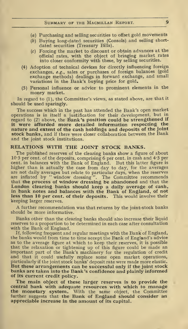- (a) Purchasing and selling securities to offset gold movements
- (6) Buying long-dated securities (Consols) and selling short- dated securities (Treasury Bills).
- (c) Forcing the market to discount or obtain advances at the official rates, with the object of bringing market rates into closer conformity with these, by selling securities.
- (4) Adoption of technical devices for directly influencing foreign exchanges, e.g., sales or purchases of foreign balances (gold exchange methods) dealings in forward exchange, and small variations in the Bank's buying price for gold.
- (5) Personal influence or advice to prominent elements in the money market.

In regard to (1), the Committee's views, as stated above, are that it should be used sparingly.

The success which in the past has attended the Bank's open market operations is in itself <sup>a</sup> justification for their development, but in regard to (2) above, the Bank's position could be strengthened if<br>it were afforded more detailed information respecting the nature and extent of the cash holdings and deposits of the joint stock banks, and if there were closer collaboration between the Bank and the joint stock institutions.

## RELATIONS WITH THE JOINT STOCK BANKS.

The published reserves of the clearing banks show <sup>a</sup> figure of about  $10.5$  per cent. of the deposits, comprising 6 per cent. in cash and  $4.5$  per cent, in balances with the Bank of England. But this latter figure is higher than is actually the case from day to day, for the averages are not daily averages but relate to particular days, when the reserves are inflated by " window dressing ". The Committee recommends that the process of window dressing be abandoned and that the London clearing banks should keep <sup>a</sup> daily average of cash, in bank notes and balances with the Bank of England, of not less than 10 per cent, of their deposits. This would involve their keeping larger reserves.

A further recommendation was that returns by the joint-stock banks should be more informative.

Banks other than the clearing banks should also increase their liquid reserves to <sup>a</sup> proportion to be determined in each case after consultation with the Bank of England.

If, following frequent and regular meetings with the Bank of England, the banks would from time to time accept the Bank of England's advice that the relaxation or tightening up of this figure could be made an important part of the Bank's machinery for the regulation of credit and that it could usefully replace some open market operations, particularly if the joint stock banks' deposit rate were made more elastic. But these arrangements can be successful only if the joint stock banks are taken into the Bank's confidence and plainly informed of its current credit policy.

The main object of these larger reserves is to provide the central bank with adequate resources with which to manage the monetary system. With the same object, the Committee further suggests that the Bank of England should consider an appreciable increase in the amount of its capital.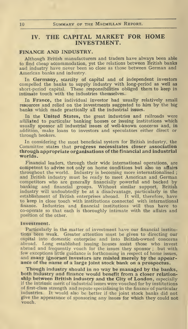## IV. THE CAPITAL MARKET FOR HOME INVESTMENT.

### FINANCE AND INDUSTRY.

Although British manufacturers and traders have always been able to find cheap accommodation, yet the relations between British banks aud industry have never been so close as those between German and American banks and industry.

In Germany, scarcity of capital and of independent investors compelled the banks to supply industry with long-period as well as short-period capital. These responsibilities obliged them to keep in intimate touch with the industries themselves.

In France, the individual investor had usually relatively small resources and relied on the investments suggested to him by the big banks which made practically all the industrial issues.

In the United States, the great industries and railroads were affiliated to particular banking houses or issuing institutions which usually sponsor all industrial issues of well-known concerns and, in addition, make loans to investors and speculators either direct or through brokers.

In considering the most beneficial system for British industry, the Committee states that progress necessitates closer association through appropriate organisations of the financial and industrial worlds.

Financial leaders, through their wide international operations, are competent to advise not only on home conditions but also on affairs throughout the world. Industry is becoming more internationalised; and British industry must be ready to meet American and German competitors who are generally financially powerful and backed by banking and financial groups. Without similar support, British industry will undoubtedly be at <sup>a</sup> disadvantage, particularly in the establishment of British enterprises abroad. It will, therefore, have to keep in close touch with institutions connected with international finance. Industries and financial institutions will thus have to co-operate so that each is thoroughly intimate with the affairs and position of the other.

#### Investment.

Particularly in the matter of investment have our financial institu tions been weak. Greater attention must be given to directing our capital into domestic enterprise and into British-owned concerns abroad and frequently vouch for the issues they sponsor; but with few exceptions little guidance is forthcoming in respect of home issues, and many ignorant investors are misled merely by the appearance of the name of <sup>a</sup> large joint stock bank on <sup>a</sup> prospectus.

Though industry should in no way be managed by the banks, both industry and finance would benefit from a closer relation ship between British industry and the City of London, especially if the intrinsic merit of industrial issues were vouched for by institutions <>f first-class strength and repute specialising in the finance of particular industries. It would also be better if the joint stock banks did not give the appearance of sponsoring any issues for which they could not vouch.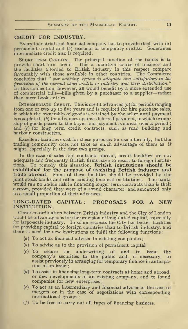#### CREDIT FOR INDUSTRY.

Every industrial and financial company has to provide itself with  $(a)$ permanent capital and (b) seasonal or temporary credits. Sometimes intermediate credit also is required.

SHORT-TERM CREDITS. The principal function of the banks is to provide short-term credit. This <sup>a</sup> lucrative source of business and the facilities afforded to British industry in this respect compare favourably with those available in other countries. The Committee concludes that " our banking system is adequate and satisfactory in the provision of the normal short credits to industry and their distribution."<br>In this connection, however, all would benefit by a more extended use of commercial bills—bills given by a purchaser to a supplier—rather than mere book entries.

INTERMEDIATE CREDIT. This is credit advanced  $(a)$  for periods ranging from one or two up to five years and is required for hire purchase sales, in which the ownership of goods is retained by the seller until payment is completed ; (b) for advances against deferred payment, in which ownership of goods passes to the buyer and payment is spread over a period ; and  $(c)$  for long term credit contracts, such as road building and harbour construction.

Excellent facilities exist for these purposes for use internally, but the trading community does not take as much advantage of them as it might, especially in the first two groups.

In the case of sales and contracts abroad, credit facilities are not adequate and frequently British firms have to resort to foreign institutions. To remedy this situation, British institutions should be established for the purpose of assisting British industry and trade abroad. Some of these facilities should be provided by the joint stock banks and other existing financial institutions. The banks would run no undue risk in financing longer term contracts than is their custom, provided they were of a sound character, and amounted only to a small proportion of their advances.

#### LONG-DATED CAPITAL : PROPOSALS FOR A NEW INSTITUTION.

Closer co-ordination between British industry and the City of London would be advantageous for the provision of long-dated capital, especially for large-scale industry. In some respects the City has better facilities for providing capital to foreign countries than to British industry, and there is need for new institutions to fulfil the following functions :

- (a) To act as financial adviser to existing companies ;
- (b) To advise as to the provision of permanent capital
- $(c)$  To secure the underwriting of and to issue the company's securities to the public and, if necessary, to company's securities to the public and, if necessary, assist previously in arranging for temporary finance in anticipation of an issue ;
- (d) To assist in financing long-term contracts at home and abroad, or new developments of an existing company, and to found companies for new enterprises ;
- (e) To act as an intermediary and financial adviser in the case of mergers or in the case of negotiations with corresponding international groups ;
- $(f)$  To be free to carry out all types of financing business.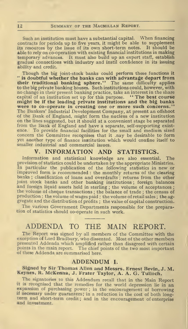Such an institution must have <sup>a</sup> substantial capital. When financing contracts for periods up to five years, it might be able to supplement its resources by the issue of its own short-term notes. It should be able to rely on co-operation with existing financial institutions in making temporary advances. It must also build up an expert staff, establish gradual connections with industry and instil confidence in its issuing ability and credit.

Though the big joint-stock banks could perform these functions it " is doubtful whether the banks can with advantage depart from their traditional banking sphere." The same difficulty applies to the big private banking houses. Such institutions could, however, with no change in their present banking practice, take an interest in the share capital of might be if the leading private institutions and the big banks<br>were to co-operate in creating one or more such concerns."<br>The Bankers' Industrial Development Company, at present an offshoot<br>of the Bank of England, might fo on the lines suggested, but it should at a convenient stage be separated<br>from the Bank of England and have a separate, self-supporting exist-<br>ence. To provide financial facilities for the small and medium sized<br>concern the yet another type of finance institution which would confine itself to smaller industrial and commercial issues.

## V. INFORMATION AND STATISTICS.

Information and statistical knowledge are also essential. The provision of statistics could be undertaken by the appropriate Ministries. In particular the publication of the following statistics in new or improved form is recommended: the monthly returns of the clearing banks ; classification of loans and overdrafts ; returns from the other joint stock banks and other banking institutions ; foreign balances and foreign liquid assets held in sterling ; the volume of acceptances ; the volume of cheque transactions ; the balance of trade ; the census of production ; the volume of wages paid ; the volume of retail sales ; the ag-<br>gregate and the distribution of profits ; the value of capital construction.

The various Government Departments responsible for the preparation of statistics should co-operate in such work.

## ADDENDA TO THE MAIN REPORT.

The Report was signed by all members of the Committee with the exception of l.ord Bradbury, who dissented. Most of the other members nted Addenda which amplified rather than disagreed with certain points in the main report. The chief points of the two most important of these Addenda are summarised here.

## ADDENDUM I.

#### Signed by Sir Thomas Allen and Messrs. Ernest Bevin, J. M. Keynes, R. McKenna, J. Prater Taylor, A. A. G. Tulloch.

The signatories to this Addendum recall that in the Main Report it is recognised that the remedies for the world depression lie in an expansion of purchasing power ; in the encouragement of borrowing if necessary under guarantees; in <sup>a</sup> reduction in the cost of both longterra and short-term credit ; and in the encouragement of enterprise and investment.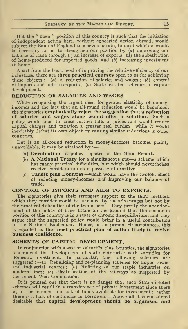But the " open " position of this country is such that the initiation of independent action here, without concerted action abroad, would subject the Bank of England to <sup>a</sup> severe strain, to meet which it would be necessary for us to strengthen our position by (a) improving our balance of trade through (i) an increase of exports, (ii) the substitution of home-produced for imported goods, and  $(b)$  increasing investment at home.

Apart from the basic need of improving the relative efficiency of our industries, there are three practical courses open to us for achieving these objects :-  $(a)$  a reduction of salaries and wages; (b) control of imports and aids to exports ; (c) State assisted schemes of capital development.

#### REDUCTION OF SALARIES AND WAGES.

While recognising the urgent need for greater elasticity of moneyincomes and the fact that an all-round reduction would be beneficial, the signatories emphatically reject the suggestion that a reduction of salaries and wages alone would offer a solution. Such <sup>a</sup> policy would tend to cause further falls in prices and would render capital charges and taxation a greater real burden ; while it would inevitably defeat its own object by causing similar reductions in other countries.

But if an all-round reduction in money-incomes becomes plainly unavoidable, it may be attained by  $:$   $\rightarrow$ 

- (a) Devaluation-a policy rejected in the Main Report.
- (b) A National Treaty for a simultaneous cut—a scheme which has many practical difficulties, but which should nevertheless receive consideration as a possible alternative.
- $(c)$  Tariffs plus Bounties—which would have the twofold effect of reducing money-incomes and improving our balance of trade.

#### CONTROL OF IMPORTS AND AIDS TO EXPORTS.

The signatories give their strongest support to the third method, which they consider would be attended by the advantages but not by the practical difficulties of the two others. They justify the abandonment of the policy of Free Trade on the ground that the economic position of this country is in a state of chronic disequilibrium, and they argue that the suggested policy would bring in a useful contribution to the National Exchequer. Hence, in the present circumstances, this is regarded as the most practical plan of action likely to revive business confidence.

#### SCHEMES OF CAPITAL DEVELOPMENT.

In conjunction with a system of tariffs plus bounties, the signatories recommend the development of state enterprise with subsidies for domestic investment. In particular, the following schemes are suggested :— $(a)$  Rebuilding and re-planning schemes for larger towns and industrial centres; (b) Refitting of our staple industries on modern lines; (c) Electrification of the railways as suggested by the recent Weir Commission.

It is pointed out that there is no danger that such State-directed schemes will result in <sup>a</sup> transference of private investment since there is, at the moment, no lack of funds available for investment : rather there is a lack of confidence in borrowers. Above all it is considered desirable that capital development should be organised and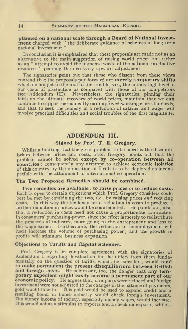planned on <sup>a</sup> national scale through <sup>a</sup> Board of National Invest- ment charged with " the deliberate guidance of schemes of long-term national investment ".

In conclusion it is emphasized that these proposals are made not as an alternative to the main suggestion of raising world prices but rather as an " attempt to avoid the immense waste of the national productive resources " pending the necessary upward adjustment.

The signatories point out that those who dissent from these views<br>contend that the proposals put forward are **merely temporary shifts**<br>which do not get to the root of the trouble, viz., the unduly high level of<br>our costs o faith on the ultimate recovery of world prices, maintain that we can continue to support permanently our improved working class standards, and that to seek the remedy in a reduction of salaries and wages will involve practical difficulties and social troubles of the first magnitude.

#### ADDENDUM III.

#### Signed by Prof. T. E. Gregory.

Whilst admitting that the great problem to be faced is the disequili brium between prices and costs, Prof. Gregory points out that the problem cannot be solved except by co-operation between all countries : consequently any attempt to achieve economic isolation of this country by the imposition of tariffs is to be deplored as incompatible with the attainment of international co-operation.

#### The Two Proposed Remedies should be combined.

Two remedies are available : to raise prices or to reduce costs. Each isopen to certain objections which Prof. Gregory considers could best be met by combining the two, i.e., by raising prices and reducing costs. In this way the tendency for a reduction in costs to produce a further reduction in prices would be counteracted. He points out, also, that a reduction in costs need not cause a proportionate contraction<br>in consumers' purchasing-power, since the effect is merely to redistribute the proceeds of industry, more going to the entrepreneur and less to the wage-earner. Furthermore, the reduction in unemployment will itself increase the volume of purchasing power ; and the growth in profits will stimulate business expansion.

#### Objections to Tariffs and Capital Schemes.

Prof. Gregory is in complete agreement with the signatories of Addendum <sup>1</sup> regarding devaluation but he differs from them funda mentally on the question of tariffs, which, he considers, would tend to make permanent the present disequilibrium between British and foreign costs. He points out, too, the danger that any temporary expedient might easily become a permanent part of our economic policy. He argues that, if imports were reduced and foreign investment were not adjusted to the changes in the balance of payments, gold would flow in. This gold would be used to expand credit and a resulting boom in home industry would check foreign investment. The money income of society, especially money wages, would increase.<br>This would act as a stimulus to imports and a check on exports, while a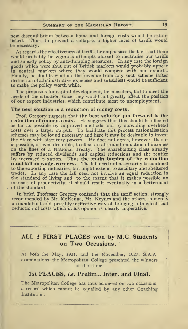new disequilibrium between home and foreign costs would be established. Thus, to prevent a collapse, a higher level of tariffs would be necessary.

As regards the effectiveness of tariffs, he emphasises the fact that there would probably be vigorous attempts abroad to neutralise our tariffs and subsidy policy by anti-dumping measures. In any case the foreign goods which were shut out of British markets would probably appear in neutral markets where they would compete with our exports.<br>Finally, he doubts whether the revenue from any such scheme (after deduction of administrative expenses and subsidies) would be sufficient to make the policy worth while.

The proposals for capital development, he considers, fail to meet the needs of the situation since they would not greatly affect the position of our export industries, which contribute most to unemployment.

#### The best solution is a reduction of money costs.

Prof. Gregory suggests that the best solution put forward is the reduction of money-costs. He suggests that this should be effected as far as possible by improved methods and by spreading overhead costs over a larger outpu schemes may be found necessary and here it may be desirable to invest<br>the State with statutory powers. He does not agree, however, that it is possible, or even desirable, to effect an all-round reduction of incomes on the lines of <sup>a</sup> National Treaty. The shareholding class already suffers by reduced dividends and capital reductions and the rentier by increased taxation. Thus the main burden of the reduction must fall on wage-earners. The fall need not necessarily be confined to the exporting industries, but might extend to ancillary and sheltered trades. In any case the fall need not involve an equal reduction in the standard of living and, to the extent that it makes possible an increase of productivity, it should result eventually in a betterment of the standard.

In brief, Professor Gregory contends that the tariff action, strongly recommended by Mr. McKenna, Mr. Keynes and the others, is merely <sup>a</sup> roundabout and possibly ineffective way of bringing into effect that reduction of costs which in his opinion is clearly imperative.

## ALL <sup>3</sup> FIRST PLACES won by M.C. Students on Two Occasions.

At both the May, 1931, and the November, 1927, S.A.A. examinations, the Metropolitan College presented the winners of the three

## 1st PLACES, i.e. Prelim., Inter, and Final.

The Metropolitan College has thus achieved on two occasions, a record which cannot be equalled by any other Coaching Institution.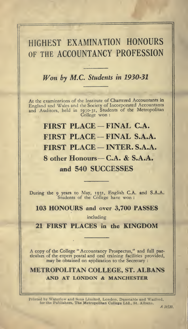# HIGHEST EXAMINATION HONOURS OF THE ACCOUNTANCY PROFESSION

# Won by M.C. Students in 1930-31

At the examinations of the Institute of Chartered Accountants in England and Wales and the Society of Incorporated Accountants and Auditors, held in 1930-31, Students of the Metropolitan College won :

FIRST PLACE - FINAL C.A. FIRST PLACE - FINAL S.A.A. FIRST PLACE - INTER. S.A.A. 8 other Honours C.A. & S.A.A. and 540 SUCCESSES

During the 9 years to May, 1931, English C.A. and S.A.A. [1931]

103 HONOURS and over 3,700 PASSES

including

<sup>21</sup> FIRST PLACES in the KINGDOM

A copy of the College " Accountancy Prospectus," and full par-ticulars of the expert postal and oral training facilities provided, may be obtained on application to the Secretary :

METROPOLITAN COLLEGE, ST. ALBANS AND AT LONDON & MANCHESTER

Printed by Waterlow and Sons Limited, London, Dunstable and Watford.<br>for the Publishers, The Metropolitan College Ltd., St. Albans.<br>*A 31|20*.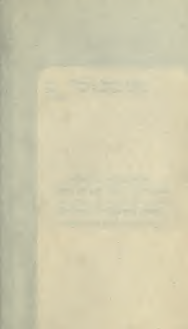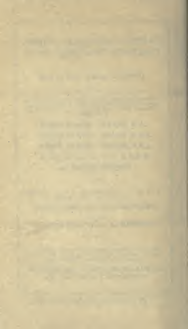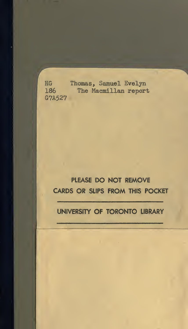HG Thomas, Samuel Evelyn The Macmillan report G7A527

# PLEASE DO NOT REMOVE CARDS OR SLIPS FROM THIS POCKET

# UNIVERSITY OF TORONTO LIBRARY